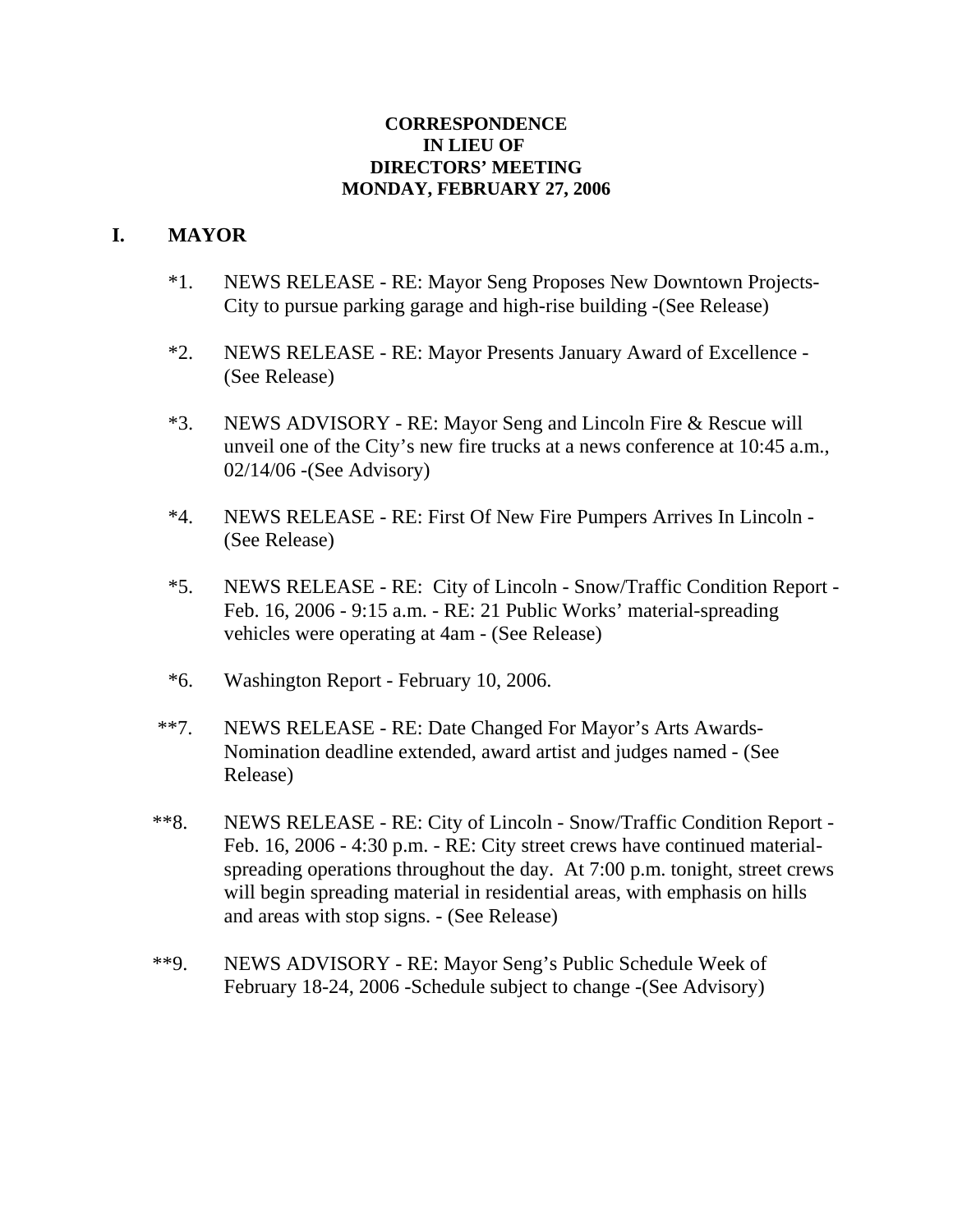#### **CORRESPONDENCE IN LIEU OF DIRECTORS' MEETING MONDAY, FEBRUARY 27, 2006**

## **I. MAYOR**

- \*1. NEWS RELEASE RE: Mayor Seng Proposes New Downtown Projects- City to pursue parking garage and high-rise building -(See Release)
- \*2. NEWS RELEASE RE: Mayor Presents January Award of Excellence (See Release)
- \*3. NEWS ADVISORY RE: Mayor Seng and Lincoln Fire & Rescue will unveil one of the City's new fire trucks at a news conference at 10:45 a.m., 02/14/06 -(See Advisory)
- \*4. NEWS RELEASE RE: First Of New Fire Pumpers Arrives In Lincoln (See Release)
- \*5. NEWS RELEASE RE: City of Lincoln Snow/Traffic Condition Report Feb. 16, 2006 - 9:15 a.m. - RE: 21 Public Works' material-spreading vehicles were operating at 4am - (See Release)
- \*6. Washington Report February 10, 2006.
- \*\*7. NEWS RELEASE RE: Date Changed For Mayor's Arts Awards-Nomination deadline extended, award artist and judges named - (See Release)
- \*\*8. NEWS RELEASE RE: City of Lincoln Snow/Traffic Condition Report Feb. 16, 2006 - 4:30 p.m. - RE: City street crews have continued materialspreading operations throughout the day. At 7:00 p.m. tonight, street crews will begin spreading material in residential areas, with emphasis on hills and areas with stop signs. - (See Release)
- \*\*9. NEWS ADVISORY RE: Mayor Seng's Public Schedule Week of February 18-24, 2006 -Schedule subject to change -(See Advisory)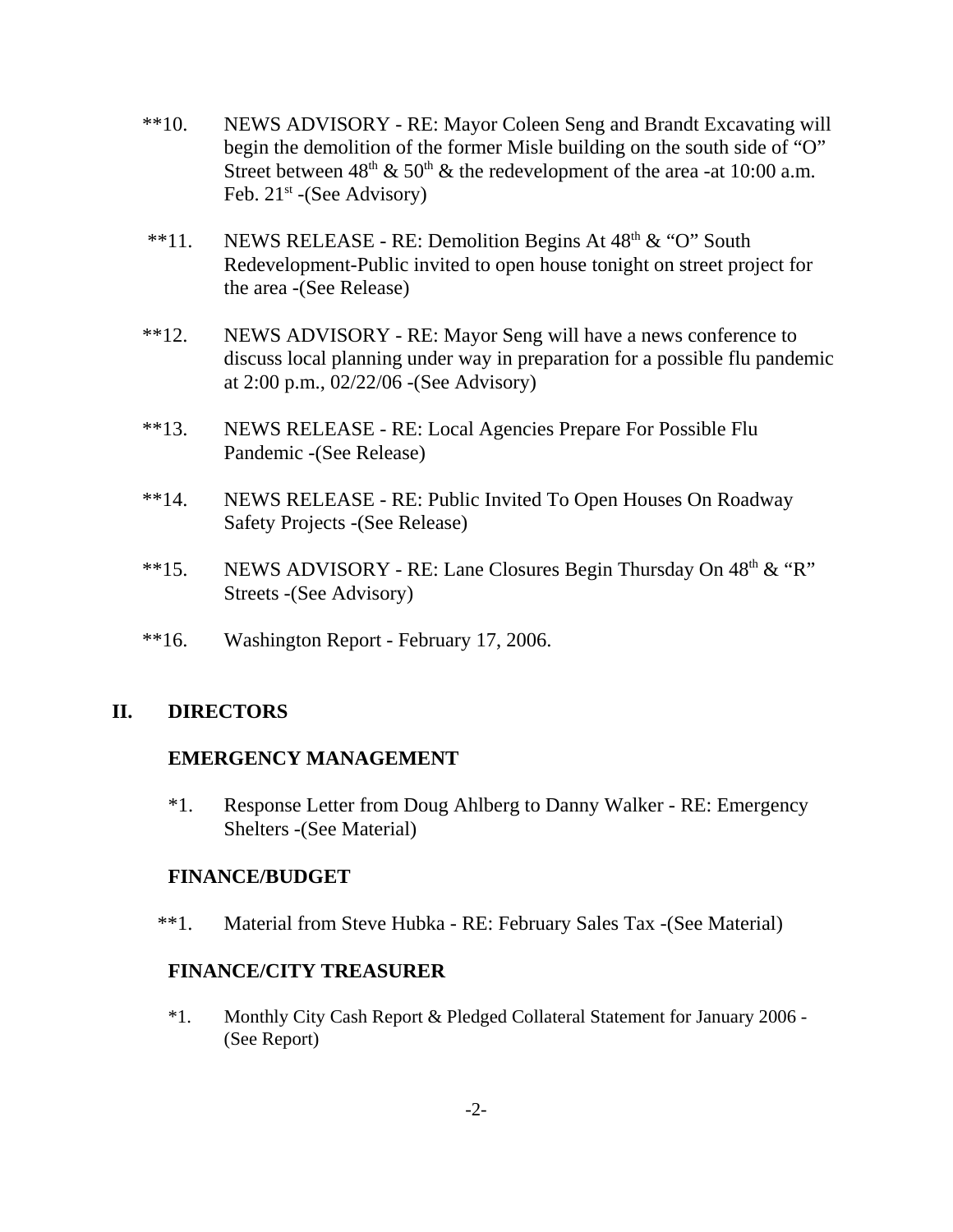- \*\*10. NEWS ADVISORY RE: Mayor Coleen Seng and Brandt Excavating will begin the demolition of the former Misle building on the south side of "O" Street between  $48<sup>th</sup>$  & 50<sup>th</sup> & the redevelopment of the area -at 10:00 a.m. Feb.  $21^{st}$  -(See Advisory)
- \*\*11. NEWS RELEASE RE: Demolition Begins At  $48<sup>th</sup> \& ^{\circ}$  "O" South Redevelopment-Public invited to open house tonight on street project for the area -(See Release)
- \*\*12. NEWS ADVISORY RE: Mayor Seng will have a news conference to discuss local planning under way in preparation for a possible flu pandemic at 2:00 p.m., 02/22/06 -(See Advisory)
- \*\*13. NEWS RELEASE RE: Local Agencies Prepare For Possible Flu Pandemic -(See Release)
- \*\*14. NEWS RELEASE RE: Public Invited To Open Houses On Roadway Safety Projects -(See Release)
- \*\*15. NEWS ADVISORY RE: Lane Closures Begin Thursday On  $48<sup>th</sup> \& ^{\circ}$ "R" Streets -(See Advisory)
- \*\*16. Washington Report February 17, 2006.

## **II. DIRECTORS**

#### **EMERGENCY MANAGEMENT**

\*1. Response Letter from Doug Ahlberg to Danny Walker - RE: Emergency Shelters -(See Material)

#### **FINANCE/BUDGET**

\*\*1. Material from Steve Hubka - RE: February Sales Tax -(See Material)

#### **FINANCE/CITY TREASURER**

\*1. Monthly City Cash Report & Pledged Collateral Statement for January 2006 - (See Report)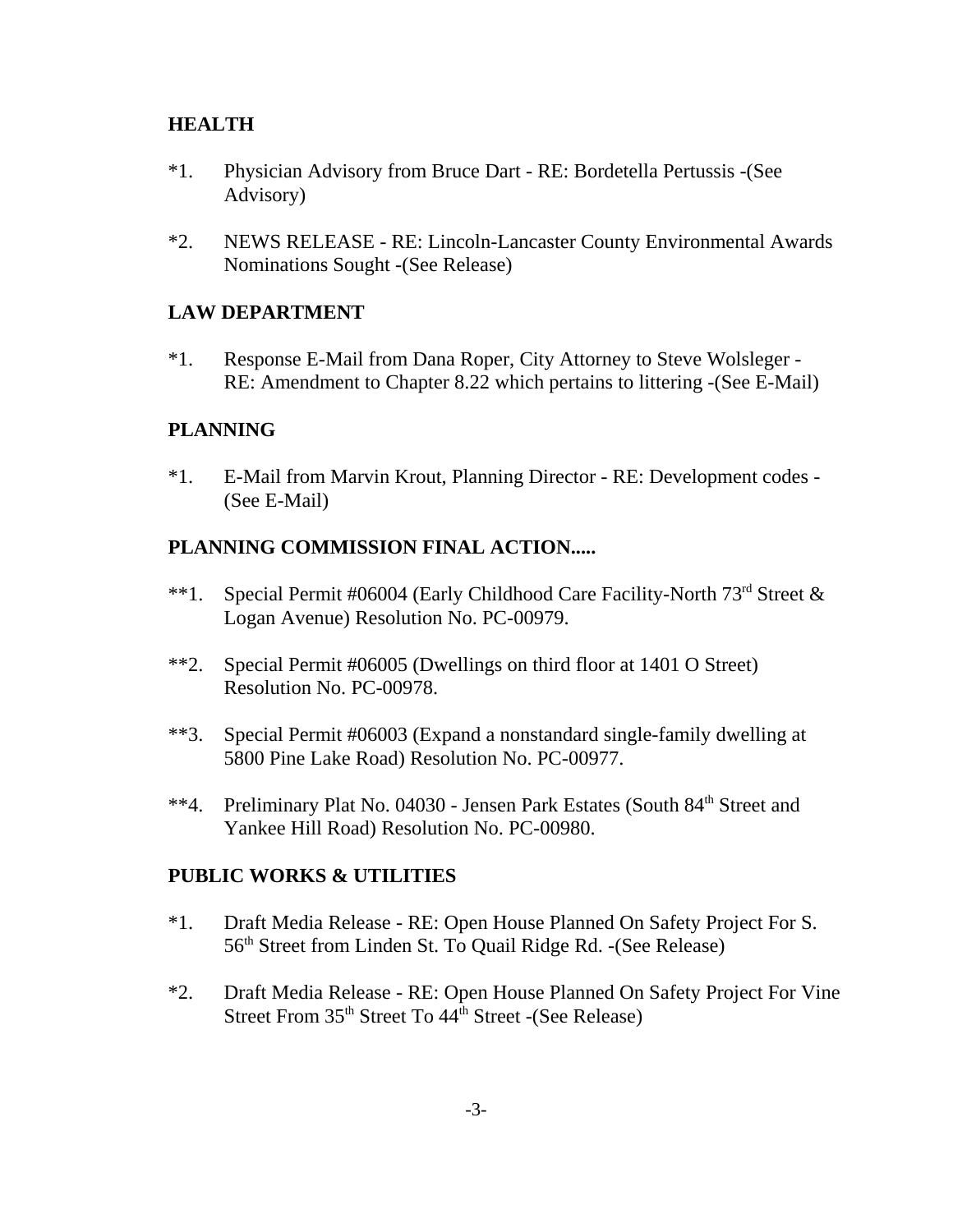## **HEALTH**

- \*1. Physician Advisory from Bruce Dart RE: Bordetella Pertussis -(See Advisory)
- \*2. NEWS RELEASE RE: Lincoln-Lancaster County Environmental Awards Nominations Sought -(See Release)

## **LAW DEPARTMENT**

\*1. Response E-Mail from Dana Roper, City Attorney to Steve Wolsleger - RE: Amendment to Chapter 8.22 which pertains to littering -(See E-Mail)

## **PLANNING**

\*1. E-Mail from Marvin Krout, Planning Director - RE: Development codes - (See E-Mail)

## **PLANNING COMMISSION FINAL ACTION.....**

- \*\*1. Special Permit #06004 (Early Childhood Care Facility-North  $73<sup>rd</sup>$  Street & Logan Avenue) Resolution No. PC-00979.
- \*\*2. Special Permit #06005 (Dwellings on third floor at 1401 O Street) Resolution No. PC-00978.
- \*\*3. Special Permit #06003 (Expand a nonstandard single-family dwelling at 5800 Pine Lake Road) Resolution No. PC-00977.
- \*\*4. Preliminary Plat No. 04030 Jensen Park Estates (South 84<sup>th</sup> Street and Yankee Hill Road) Resolution No. PC-00980.

#### **PUBLIC WORKS & UTILITIES**

- \*1. Draft Media Release RE: Open House Planned On Safety Project For S. 56<sup>th</sup> Street from Linden St. To Quail Ridge Rd. -(See Release)
- \*2. Draft Media Release RE: Open House Planned On Safety Project For Vine Street From  $35<sup>th</sup>$  Street To  $44<sup>th</sup>$  Street -(See Release)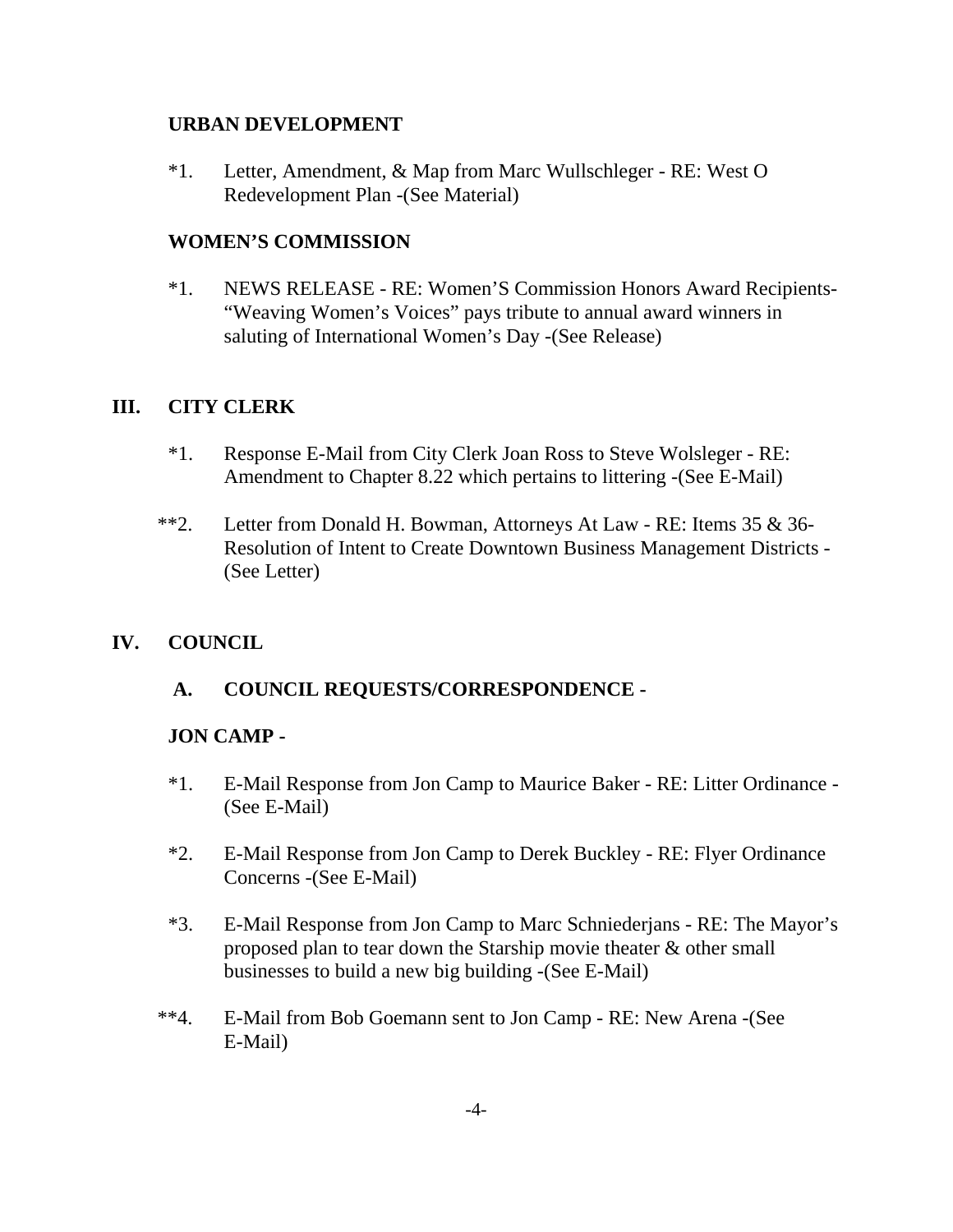## **URBAN DEVELOPMENT**

\*1. Letter, Amendment, & Map from Marc Wullschleger - RE: West O Redevelopment Plan -(See Material)

# **WOMEN'S COMMISSION**

\*1. NEWS RELEASE - RE: Women'S Commission Honors Award Recipients- "Weaving Women's Voices" pays tribute to annual award winners in saluting of International Women's Day -(See Release)

# **III. CITY CLERK**

- \*1. Response E-Mail from City Clerk Joan Ross to Steve Wolsleger RE: Amendment to Chapter 8.22 which pertains to littering -(See E-Mail)
- \*\*2. Letter from Donald H. Bowman, Attorneys At Law RE: Items 35 & 36- Resolution of Intent to Create Downtown Business Management Districts - (See Letter)

# **IV. COUNCIL**

# **A. COUNCIL REQUESTS/CORRESPONDENCE -**

## **JON CAMP -**

- \*1. E-Mail Response from Jon Camp to Maurice Baker RE: Litter Ordinance (See E-Mail)
- \*2. E-Mail Response from Jon Camp to Derek Buckley RE: Flyer Ordinance Concerns -(See E-Mail)
- \*3. E-Mail Response from Jon Camp to Marc Schniederjans RE: The Mayor's proposed plan to tear down the Starship movie theater & other small businesses to build a new big building -(See E-Mail)
- \*\*4. E-Mail from Bob Goemann sent to Jon Camp RE: New Arena -(See E-Mail)